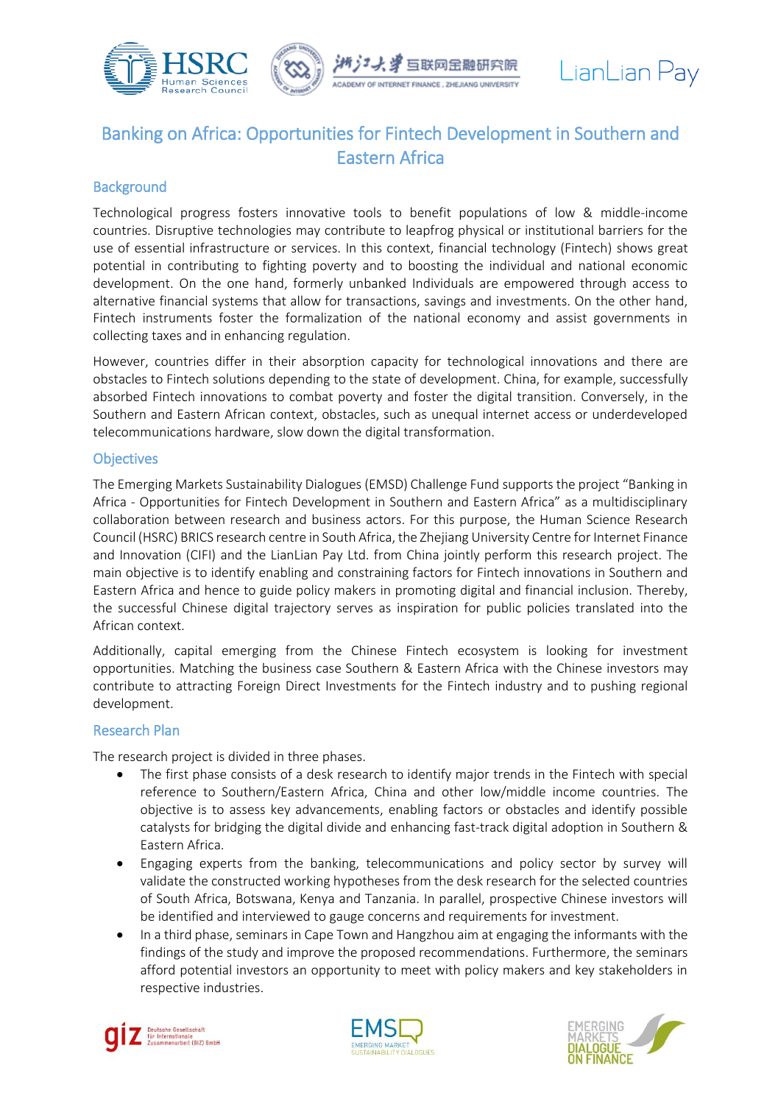



# Banking on Africa: Opportunities for Fintech Development in Southern and Eastern Africa

## **Background**

Technological progress fosters innovative tools to benefit populations of low & middle-income countries. Disruptive technologies may contribute to leapfrog physical or institutional barriers for the use of essential infrastructure or services. In this context, financial technology (Fintech) shows great potential in contributing to fighting poverty and to boosting the individual and national economic development. On the one hand, formerly unbanked Individuals are empowered through access to alternative financial systems that allow for transactions, savings and investments. On the other hand, Fintech instruments foster the formalization of the national economy and assist governments in collecting taxes and in enhancing regulation.

However, countries differ in their absorption capacity for technological innovations and there are obstacles to Fintech solutions depending to the state of development. China, for example, successfully absorbed Fintech innovations to combat poverty and foster the digital transition. Conversely, in the Southern and Eastern African context, obstacles, such as unequal internet access or underdeveloped telecommunications hardware, slow down the digital transformation.

### **Objectives**

The Emerging Markets Sustainability Dialogues (EMSD) Challenge Fund supports the project "Banking in Africa - Opportunities for Fintech Development in Southern and Eastern Africa" as a multidisciplinary collaboration between research and business actors. For this purpose, the Human Science Research Council (HSRC) BRICS research centre in South Africa, the Zhejiang University Centre for Internet Finance and Innovation (CIFI) and the LianLian Pay Ltd. from China jointly perform this research project. The main objective is to identify enabling and constraining factors for Fintech innovations in Southern and Eastern Africa and hence to guide policy makers in promoting digital and financial inclusion. Thereby, the successful Chinese digital trajectory serves as inspiration for public policies translated into the African context.

Additionally, capital emerging from the Chinese Fintech ecosystem is looking for investment opportunities. Matching the business case Southern & Eastern Africa with the Chinese investors may contribute to attracting Foreign Direct Investments for the Fintech industry and to pushing regional development.

### Research Plan

The research project is divided in three phases.

- The first phase consists of a desk research to identify major trends in the Fintech with special reference to Southern/Eastern Africa, China and other low/middle income countries. The objective is to assess key advancements, enabling factors or obstacles and identify possible catalysts for bridging the digital divide and enhancing fast-track digital adoption in Southern & Eastern Africa.
- Engaging experts from the banking, telecommunications and policy sector by survey will validate the constructed working hypotheses from the desk research for the selected countries of South Africa, Botswana, Kenya and Tanzania. In parallel, prospective Chinese investors will be identified and interviewed to gauge concerns and requirements for investment.
- In a third phase, seminars in Cape Town and Hangzhou aim at engaging the informants with the findings of the study and improve the proposed recommendations. Furthermore, the seminars afford potential investors an opportunity to meet with policy makers and key stakeholders in respective industries.